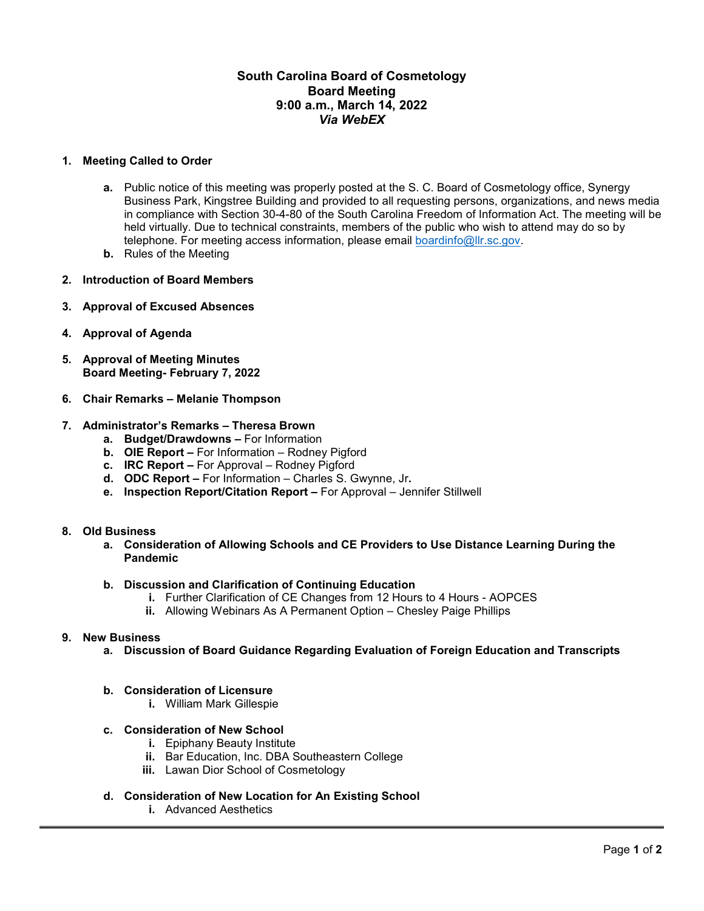# **South Carolina Board of Cosmetology Board Meeting 9:00 a.m., March 14, 2022** *Via WebEX*

### **1. Meeting Called to Order**

- **a.** Public notice of this meeting was properly posted at the S. C. Board of Cosmetology office, Synergy Business Park, Kingstree Building and provided to all requesting persons, organizations, and news media in compliance with Section 30-4-80 of the South Carolina Freedom of Information Act. The meeting will be held virtually. Due to technical constraints, members of the public who wish to attend may do so by telephone. For meeting access information, please email [boardinfo@llr.sc.gov.](mailto:boardinfo@llr.sc.gov)
- **b.** Rules of the Meeting
- **2. Introduction of Board Members**
- **3. Approval of Excused Absences**
- **4. Approval of Agenda**
- **5. Approval of Meeting Minutes Board Meeting- February 7, 2022**
- **6. Chair Remarks – Melanie Thompson**

## **7. Administrator's Remarks – Theresa Brown**

- **a. Budget/Drawdowns –** For Information
- **b. OIE Report –** For Information Rodney Pigford
- **c. IRC Report –** For Approval Rodney Pigford
- **d. ODC Report –** For Information Charles S. Gwynne, Jr**.**
- **e. Inspection Report/Citation Report –** For Approval Jennifer Stillwell

#### **8. Old Business**

**a. Consideration of Allowing Schools and CE Providers to Use Distance Learning During the Pandemic**

#### **b. Discussion and Clarification of Continuing Education**

- **i.** Further Clarification of CE Changes from 12 Hours to 4 Hours AOPCES
- **ii.** Allowing Webinars As A Permanent Option Chesley Paige Phillips

### **9. New Business**

**a. Discussion of Board Guidance Regarding Evaluation of Foreign Education and Transcripts** 

#### **b. Consideration of Licensure**

**i.** William Mark Gillespie

#### **c. Consideration of New School**

- **i.** Epiphany Beauty Institute
- **ii.** Bar Education, Inc. DBA Southeastern College
- **iii.** Lawan Dior School of Cosmetology
- **d. Consideration of New Location for An Existing School**
	- **i.** Advanced Aesthetics